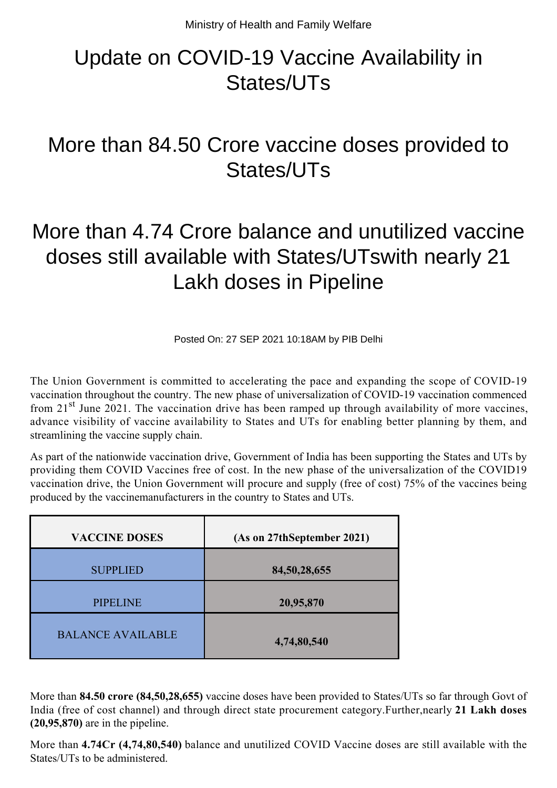## Update on COVID-19 Vaccine Availability in States/UTs

## More than 84.50 Crore vaccine doses provided to States/UTs

## More than 4.74 Crore balance and unutilized vaccine doses still available with States/UTswith nearly 21 Lakh doses in Pipeline

Posted On: 27 SEP 2021 10:18AM by PIB Delhi

The Union Government is committed to accelerating the pace and expanding the scope of COVID-19 vaccination throughout the country. The new phase of universalization of COVID-19 vaccination commenced from 21<sup>st</sup> June 2021. The vaccination drive has been ramped up through availability of more vaccines, advance visibility of vaccine availability to States and UTs for enabling better planning by them, and streamlining the vaccine supply chain.

As part of the nationwide vaccination drive, Government of India has been supporting the States and UTs by providing them COVID Vaccines free of cost. In the new phase of the universalization of the COVID19 vaccination drive, the Union Government will procure and supply (free of cost) 75% of the vaccines being produced by the vaccinemanufacturers in the country to States and UTs.

| <b>VACCINE DOSES</b>     | (As on 27thSeptember 2021) |
|--------------------------|----------------------------|
| <b>SUPPLIED</b>          | 84, 50, 28, 655            |
| <b>PIPELINE</b>          | 20,95,870                  |
| <b>BALANCE AVAILABLE</b> | 4,74,80,540                |

More than **84.50 crore (84,50,28,655)** vaccine doses have been provided to States/UTs so far through Govt of India (free of cost channel) and through direct state procurement category.Further,nearly **21 Lakh doses (20,95,870)** are in the pipeline.

More than **4.74Cr (4,74,80,540)** balance and unutilized COVID Vaccine doses are still available with the States/UTs to be administered.